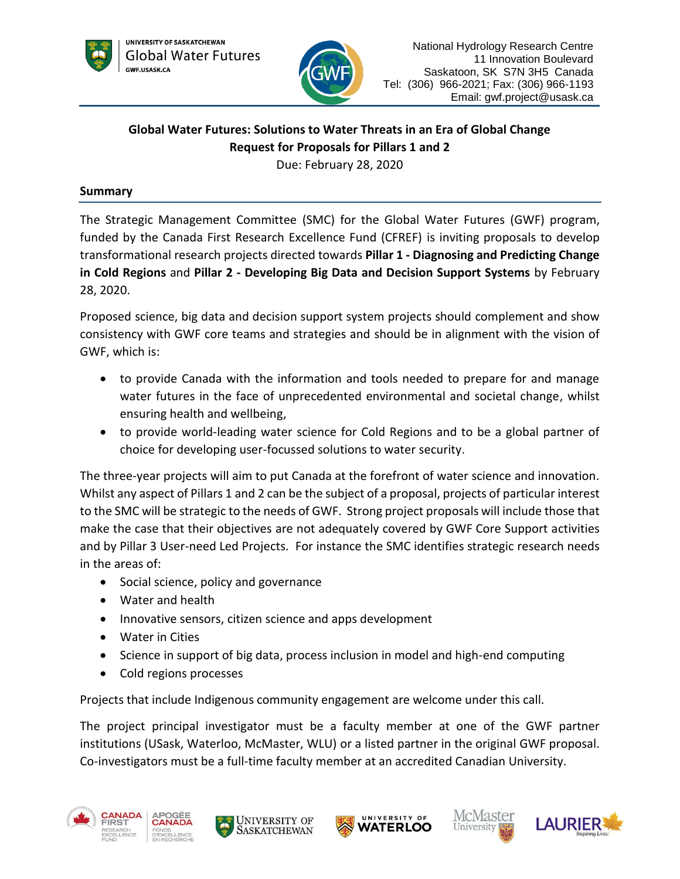



# **Global Water Futures: Solutions to Water Threats in an Era of Global Change Request for Proposals for Pillars 1 and 2**

Due: February 28, 2020

## **Summary**

The Strategic Management Committee (SMC) for the Global Water Futures (GWF) program, funded by the Canada First Research Excellence Fund (CFREF) is inviting proposals to develop transformational research projects directed towards **Pillar 1 - Diagnosing and Predicting Change in Cold Regions** and **Pillar 2 - Developing Big Data and Decision Support Systems** by February 28, 2020.

Proposed science, big data and decision support system projects should complement and show consistency with GWF core teams and strategies and should be in alignment with the vision of GWF, which is:

- to provide Canada with the information and tools needed to prepare for and manage water futures in the face of unprecedented environmental and societal change, whilst ensuring health and wellbeing,
- to provide world-leading water science for Cold Regions and to be a global partner of choice for developing user-focussed solutions to water security.

The three-year projects will aim to put Canada at the forefront of water science and innovation. Whilst any aspect of Pillars 1 and 2 can be the subject of a proposal, projects of particular interest to the SMC will be strategic to the needs of GWF. Strong project proposals will include those that make the case that their objectives are not adequately covered by GWF Core Support activities and by Pillar 3 User-need Led Projects. For instance the SMC identifies strategic research needs in the areas of:

- Social science, policy and governance
- Water and health
- Innovative sensors, citizen science and apps development
- Water in Cities
- Science in support of big data, process inclusion in model and high-end computing
- Cold regions processes

Projects that include Indigenous community engagement are welcome under this call.

The project principal investigator must be a faculty member at one of the GWF partner institutions (USask, Waterloo, McMaster, WLU) or a listed partner in the original GWF proposal. Co-investigators must be a full-time faculty member at an accredited Canadian University.











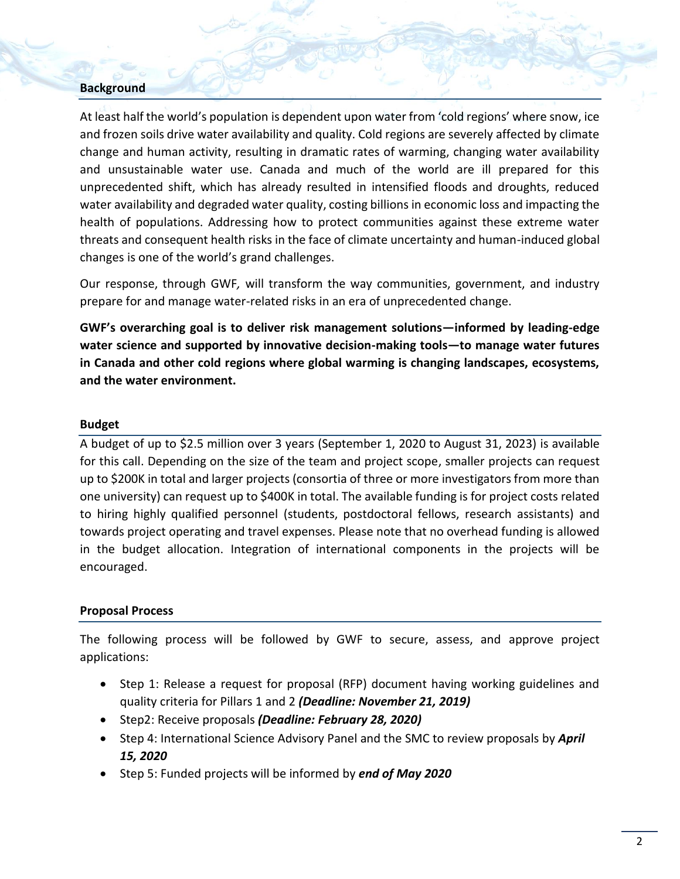## **Background**

At least half the world's population is dependent upon water from 'cold regions' where snow, ice and frozen soils drive water availability and quality. Cold regions are severely affected by climate change and human activity, resulting in dramatic rates of warming, changing water availability and unsustainable water use. Canada and much of the world are ill prepared for this unprecedented shift, which has already resulted in intensified floods and droughts, reduced water availability and degraded water quality, costing billions in economic loss and impacting the health of populations. Addressing how to protect communities against these extreme water threats and consequent health risks in the face of climate uncertainty and human-induced global changes is one of the world's grand challenges.

Our response, through GWF*,* will transform the way communities, government, and industry prepare for and manage water-related risks in an era of unprecedented change.

**GWF's overarching goal is to deliver risk management solutions—informed by leading-edge water science and supported by innovative decision-making tools—to manage water futures in Canada and other cold regions where global warming is changing landscapes, ecosystems, and the water environment.**

#### **Budget**

A budget of up to \$2.5 million over 3 years (September 1, 2020 to August 31, 2023) is available for this call. Depending on the size of the team and project scope, smaller projects can request up to \$200K in total and larger projects (consortia of three or more investigators from more than one university) can request up to \$400K in total. The available funding is for project costs related to hiring highly qualified personnel (students, postdoctoral fellows, research assistants) and towards project operating and travel expenses. Please note that no overhead funding is allowed in the budget allocation. Integration of international components in the projects will be encouraged.

#### **Proposal Process**

The following process will be followed by GWF to secure, assess, and approve project applications:

- Step 1: Release a request for proposal (RFP) document having working guidelines and quality criteria for Pillars 1 and 2 *(Deadline: November 21, 2019)*
- Step2: Receive proposals *(Deadline: February 28, 2020)*
- Step 4: International Science Advisory Panel and the SMC to review proposals by *April 15, 2020*
- **Step 5: Funded projects will be informed by end of May 2020**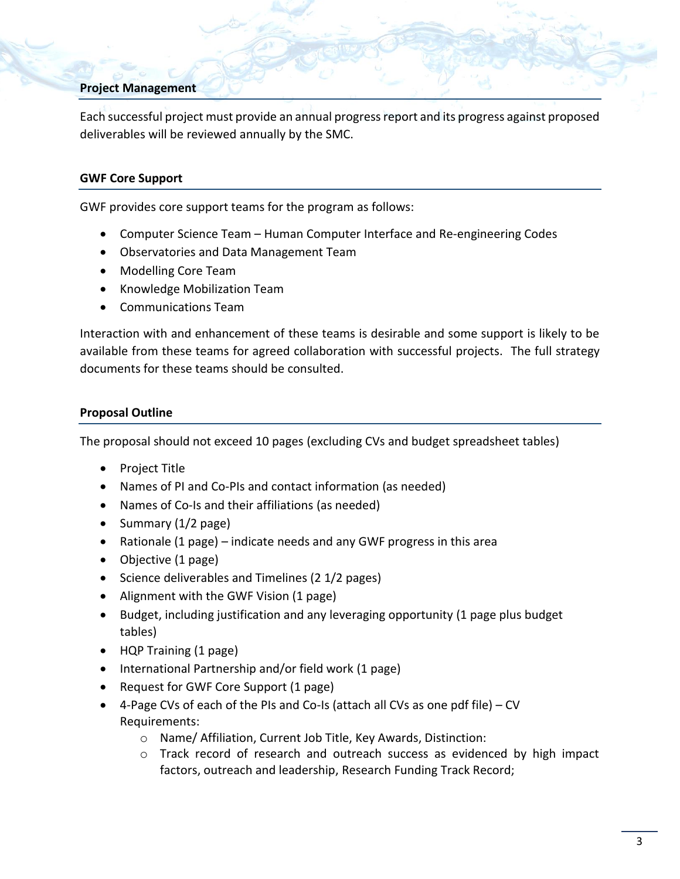## **Project Management**

Each successful project must provide an annual progress report and its progress against proposed deliverables will be reviewed annually by the SMC.

#### **GWF Core Support**

GWF provides core support teams for the program as follows:

- Computer Science Team Human Computer Interface and Re-engineering Codes
- Observatories and Data Management Team
- Modelling Core Team
- Knowledge Mobilization Team
- Communications Team

Interaction with and enhancement of these teams is desirable and some support is likely to be available from these teams for agreed collaboration with successful projects. The full strategy documents for these teams should be consulted.

### **Proposal Outline**

The proposal should not exceed 10 pages (excluding CVs and budget spreadsheet tables)

- Project Title
- Names of PI and Co-PIs and contact information (as needed)
- Names of Co-Is and their affiliations (as needed)
- Summary  $(1/2$  page)
- Rationale (1 page) indicate needs and any GWF progress in this area
- Objective (1 page)
- Science deliverables and Timelines (2 1/2 pages)
- Alignment with the GWF Vision (1 page)
- Budget, including justification and any leveraging opportunity (1 page plus budget tables)
- HQP Training (1 page)
- International Partnership and/or field work (1 page)
- Request for GWF Core Support (1 page)
- 4-Page CVs of each of the PIs and Co-Is (attach all CVs as one pdf file) CV Requirements:
	- o Name/ Affiliation, Current Job Title, Key Awards, Distinction:
	- o Track record of research and outreach success as evidenced by high impact factors, outreach and leadership, Research Funding Track Record;